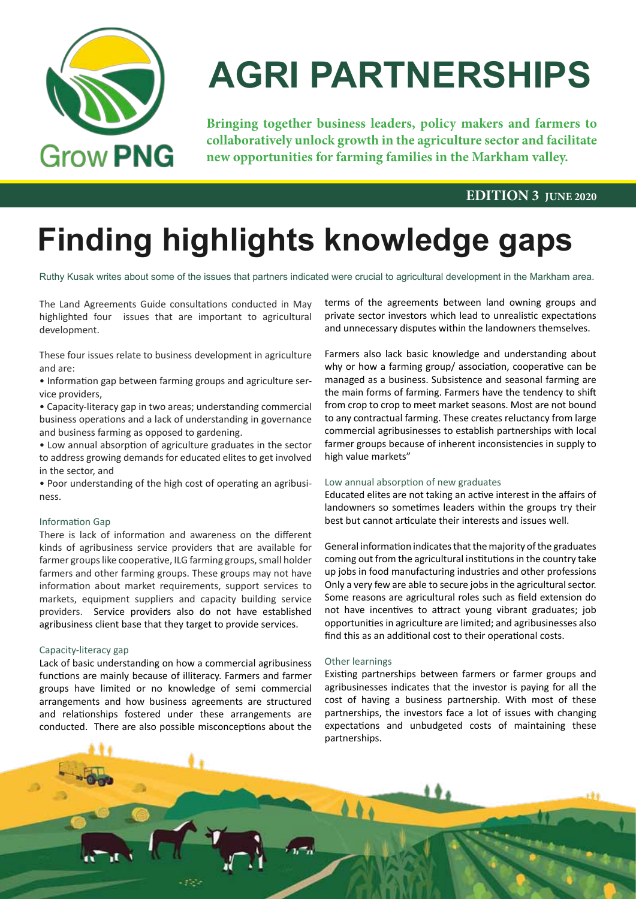

# **AGRI PARTNERSHIPS**

**Bringing together business leaders, policy makers and farmers to collaboratively unlock growth in the agriculture sector and facilitate new opportunities for farming families in the Markham valley.**

#### **EDITION 3 JUNE 2020**

# **Finding highlights knowledge gaps**

Ruthy Kusak writes about some of the issues that partners indicated were crucial to agricultural development in the Markham area.

The Land Agreements Guide consultations conducted in May highlighted four issues that are important to agricultural development.

These four issues relate to business development in agriculture and are:

• Information gap between farming groups and agriculture service providers,

• Capacity-literacy gap in two areas; understanding commercial business operations and a lack of understanding in governance and business farming as opposed to gardening.

• Low annual absorption of agriculture graduates in the sector to address growing demands for educated elites to get involved in the sector, and

• Poor understanding of the high cost of operating an agribusiness.

#### Information Gap

There is lack of information and awareness on the different kinds of agribusiness service providers that are available for farmer groups like cooperative, ILG farming groups, small holder farmers and other farming groups. These groups may not have information about market requirements, support services to markets, equipment suppliers and capacity building service providers. Service providers also do not have established agribusiness client base that they target to provide services.

#### Capacity-literacy gap

Lack of basic understanding on how a commercial agribusiness functions are mainly because of illiteracy. Farmers and farmer groups have limited or no knowledge of semi commercial arrangements and how business agreements are structured and relationships fostered under these arrangements are conducted. There are also possible misconceptions about the terms of the agreements between land owning groups and private sector investors which lead to unrealistic expectations and unnecessary disputes within the landowners themselves.

Farmers also lack basic knowledge and understanding about why or how a farming group/ association, cooperative can be managed as a business. Subsistence and seasonal farming are the main forms of farming. Farmers have the tendency to shift from crop to crop to meet market seasons. Most are not bound to any contractual farming. These creates reluctancy from large commercial agribusinesses to establish partnerships with local farmer groups because of inherent inconsistencies in supply to high value markets"

#### Low annual absorption of new graduates

Educated elites are not taking an active interest in the affairs of landowners so sometimes leaders within the groups try their best but cannot articulate their interests and issues well.

General information indicates that the majority of the graduates coming out from the agricultural institutions in the country take up jobs in food manufacturing industries and other professions Only a very few are able to secure jobs in the agricultural sector. Some reasons are agricultural roles such as field extension do not have incentives to attract young vibrant graduates; job opportunities in agriculture are limited; and agribusinesses also find this as an additional cost to their operational costs.

#### Other learnings

Existing partnerships between farmers or farmer groups and agribusinesses indicates that the investor is paying for all the cost of having a business partnership. With most of these partnerships, the investors face a lot of issues with changing expectations and unbudgeted costs of maintaining these partnerships.

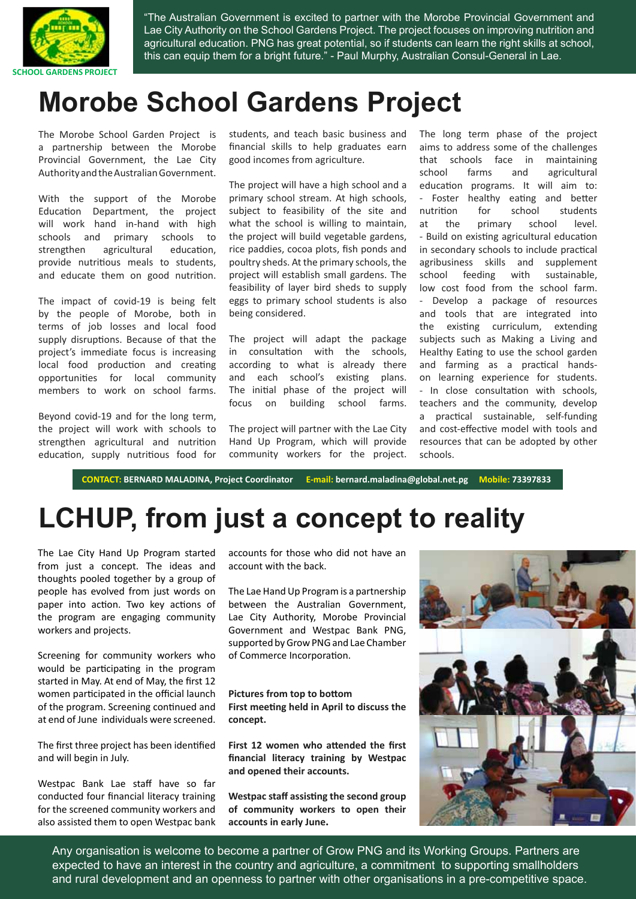

"The Australian Government is excited to partner with the Morobe Provincial Government and Lae City Authority on the School Gardens Project. The project focuses on improving nutrition and agricultural education. PNG has great potential, so if students can learn the right skills at school, this can equip them for a bright future." - Paul Murphy, Australian Consul-General in Lae.

### **Morobe School Gardens Project**

The Morobe School Garden Project is a partnership between the Morobe Provincial Government, the Lae City Authority and the Australian Government.

With the support of the Morobe Education Department, the project will work hand in-hand with high schools and primary schools to strengthen agricultural education, provide nutritious meals to students, and educate them on good nutrition.

The impact of covid-19 is being felt by the people of Morobe, both in terms of job losses and local food supply disruptions. Because of that the project's immediate focus is increasing local food production and creating opportunities for local community members to work on school farms.

Beyond covid-19 and for the long term, the project will work with schools to strengthen agricultural and nutrition education, supply nutritious food for students, and teach basic business and financial skills to help graduates earn good incomes from agriculture.

The project will have a high school and a primary school stream. At high schools, subject to feasibility of the site and what the school is willing to maintain, the project will build vegetable gardens, rice paddies, cocoa plots, fish ponds and poultry sheds. At the primary schools, the project will establish small gardens. The feasibility of layer bird sheds to supply eggs to primary school students is also being considered.

The project will adapt the package in consultation with the schools, according to what is already there and each school's existing plans. The initial phase of the project will focus on building school farms.

The project will partner with the Lae City Hand Up Program, which will provide community workers for the project.

The long term phase of the project aims to address some of the challenges that schools face in maintaining school farms and agricultural education programs. It will aim to: - Foster healthy eating and better nutrition for school students at the primary school level. - Build on existing agricultural education in secondary schools to include practical agribusiness skills and supplement school feeding with sustainable, low cost food from the school farm. - Develop a package of resources and tools that are integrated into the existing curriculum, extending subjects such as Making a Living and Healthy Eating to use the school garden and farming as a practical handson learning experience for students. - In close consultation with schools, teachers and the community, develop a practical sustainable, self-funding and cost-effective model with tools and resources that can be adopted by other schools.

**CONTACT: BERNARD MALADINA, Project Coordinator E-mail: bernard.maladina@global.net.pg Mobile: 73397833**

## **LCHUP, from just a concept to reality**

The Lae City Hand Up Program started from just a concept. The ideas and thoughts pooled together by a group of people has evolved from just words on paper into action. Two key actions of the program are engaging community workers and projects.

Screening for community workers who would be participating in the program started in May. At end of May, the first 12 women participated in the official launch of the program. Screening continued and at end of June individuals were screened.

The first three project has been identified and will begin in July.

Westpac Bank Lae staff have so far conducted four financial literacy training for the screened community workers and also assisted them to open Westpac bank accounts for those who did not have an account with the back.

The Lae Hand Up Program is a partnership between the Australian Government, Lae City Authority, Morobe Provincial Government and Westpac Bank PNG, supported by Grow PNG and Lae Chamber of Commerce Incorporation.

**Pictures from top to bottom First meeting held in April to discuss the concept.**

**First 12 women who attended the first financial literacy training by Westpac and opened their accounts.**

**Westpac staff assisting the second group of community workers to open their accounts in early June.**



Any organisation is welcome to become a partner of Grow PNG and its Working Groups. Partners are expected to have an interest in the country and agriculture, a commitment to supporting smallholders and rural development and an openness to partner with other organisations in a pre-competitive space.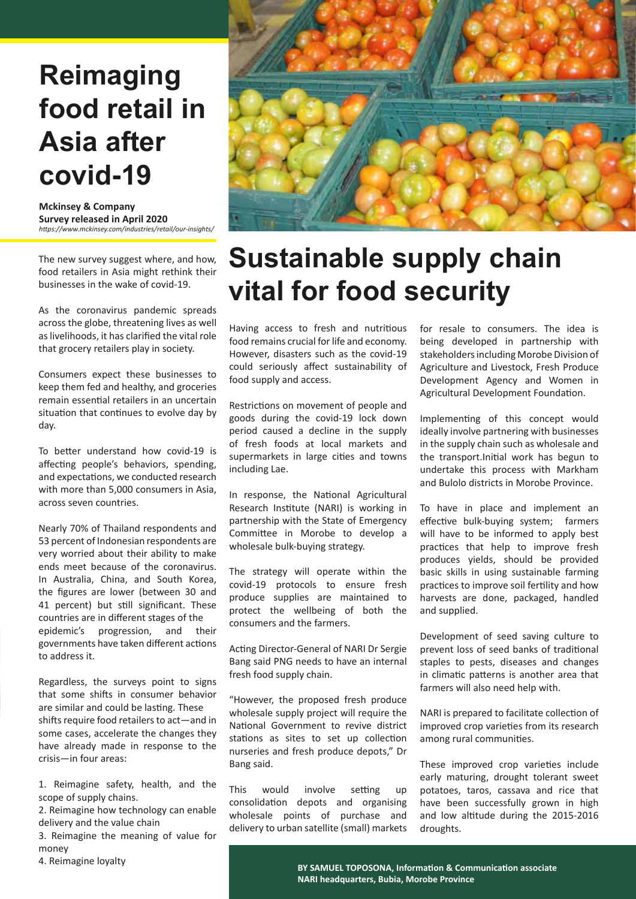### **Reimaging food retail in Asia after covid-19**

**Mckinsey & Company Survey released in April 2020** *https://www.mckinsey.com/industries/retail/our-insights/*

The new survey suggest where, and how, food retailers in Asia might rethink their businesses in the wake of covid-19.

As the coronavirus pandemic spreads across the globe, threatening lives as well as livelihoods, it has clarified the vital role that grocery retailers play in society.

Consumers expect these businesses to keep them fed and healthy, and groceries remain essential retailers in an uncertain situation that continues to evolve day by day.

To better understand how covid-19 is affecting people's behaviors, spending, and expectations, we conducted research with more than 5,000 consumers in Asia, across seven countries.

Nearly 70% of Thailand respondents and 53 percent of Indonesian respondents are very worried about their ability to make ends meet because of the coronavirus. In Australia, China, and South Korea, the figures are lower (between 30 and 41 percent) but still significant. These countries are in different stages of the epidemic's progression, and their governments have taken different actions to address it.

Regardless, the surveys point to signs that some shifts in consumer behavior are similar and could be lasting. These shifts require food retailers to act—and in some cases, accelerate the changes they have already made in response to the crisis—in four areas:

1. Reimagine safety, health, and the scope of supply chains.

2. Reimagine how technology can enable delivery and the value chain

3. Reimagine the meaning of value for money



### **Sustainable supply chain vital for food security**

Having access to fresh and nutritious food remains crucial for life and economy. However, disasters such as the covid-19 could seriously affect sustainability of food supply and access.

Restrictions on movement of people and goods during the covid-19 lock down period caused a decline in the supply of fresh foods at local markets and supermarkets in large cities and towns including Lae.

In response, the National Agricultural Research Institute (NARI) is working in partnership with the State of Emergency Committee in Morobe to develop a wholesale bulk-buying strategy.

The strategy will operate within the covid-19 protocols to ensure fresh produce supplies are maintained to protect the wellbeing of both the consumers and the farmers.

Acting Director-General of NARI Dr Sergie Bang said PNG needs to have an internal fresh food supply chain.

"However, the proposed fresh produce wholesale supply project will require the National Government to revive district stations as sites to set up collection nurseries and fresh produce depots," Dr Bang said.

This would involve setting up consolidation depots and organising wholesale points of purchase and delivery to urban satellite (small) markets for resale to consumers. The idea is being developed in partnership with stakeholders including Morobe Division of Agriculture and Livestock, Fresh Produce Development Agency and Women in Agricultural Development Foundation.

Implementing of this concept would ideally involve partnering with businesses in the supply chain such as wholesale and the transport.Initial work has begun to undertake this process with Markham and Bulolo districts in Morobe Province.

To have in place and implement an effective bulk-buying system; farmers will have to be informed to apply best practices that help to improve fresh produces yields, should be provided basic skills in using sustainable farming practices to improve soil fertility and how harvests are done, packaged, handled and supplied.

Development of seed saving culture to prevent loss of seed banks of traditional staples to pests, diseases and changes in climatic patterns is another area that farmers will also need help with.

NARI is prepared to facilitate collection of improved crop varieties from its research among rural communities.

These improved crop varieties include early maturing, drought tolerant sweet potatoes, taros, cassava and rice that have been successfully grown in high and low altitude during the 2015-2016 droughts.

4. Reimagine loyalty **BY SAMUEL TOPOSONA, Information & Communication associate NARI headquarters, Bubia, Morobe Province**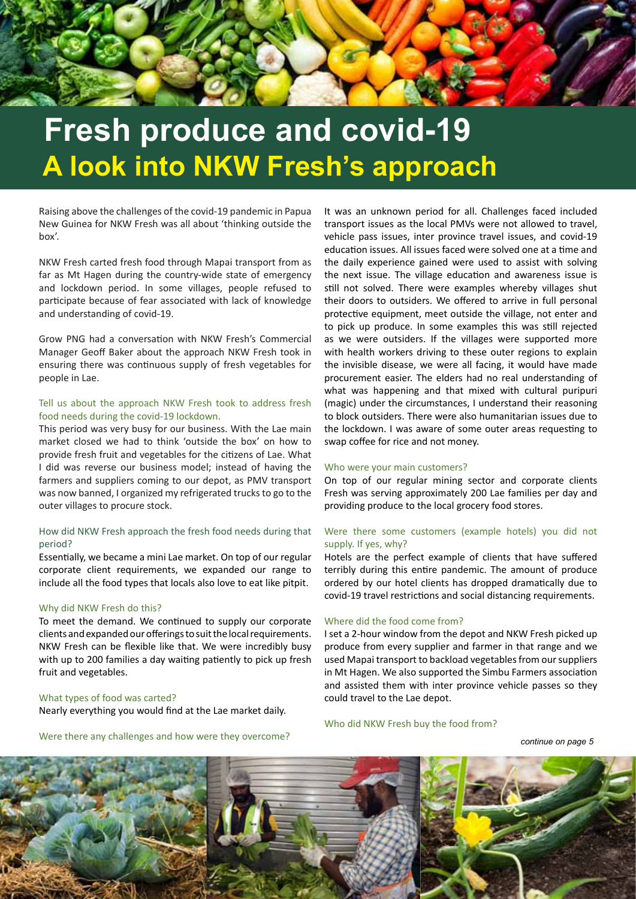

## **Fresh produce and covid-19 A look into NKW Fresh's approach**

Raising above the challenges of the covid-19 pandemic in Papua New Guinea for NKW Fresh was all about 'thinking outside the box'.

NKW Fresh carted fresh food through Mapai transport from as far as Mt Hagen during the country-wide state of emergency and lockdown period. In some villages, people refused to participate because of fear associated with lack of knowledge and understanding of covid-19.

Grow PNG had a conversation with NKW Fresh's Commercial Manager Geoff Baker about the approach NKW Fresh took in ensuring there was continuous supply of fresh vegetables for people in Lae.

#### Tell us about the approach NKW Fresh took to address fresh food needs during the covid-19 lockdown.

This period was very busy for our business. With the Lae main market closed we had to think 'outside the box' on how to provide fresh fruit and vegetables for the citizens of Lae. What I did was reverse our business model; instead of having the farmers and suppliers coming to our depot, as PMV transport was now banned, I organized my refrigerated trucks to go to the outer villages to procure stock.

#### How did NKW Fresh approach the fresh food needs during that period?

Essentially, we became a mini Lae market. On top of our regular corporate client requirements, we expanded our range to include all the food types that locals also love to eat like pitpit.

#### Why did NKW Fresh do this?

To meet the demand. We continued to supply our corporate clients and expanded our offerings to suit the local requirements. NKW Fresh can be flexible like that. We were incredibly busy with up to 200 families a day waiting patiently to pick up fresh fruit and vegetables.

#### What types of food was carted?

Nearly everything you would find at the Lae market daily.

Were there any challenges and how were they overcome?

It was an unknown period for all. Challenges faced included transport issues as the local PMVs were not allowed to travel, vehicle pass issues, inter province travel issues, and covid-19 education issues. All issues faced were solved one at a time and the daily experience gained were used to assist with solving the next issue. The village education and awareness issue is still not solved. There were examples whereby villages shut their doors to outsiders. We offered to arrive in full personal protective equipment, meet outside the village, not enter and to pick up produce. In some examples this was still rejected as we were outsiders. If the villages were supported more with health workers driving to these outer regions to explain the invisible disease, we were all facing, it would have made procurement easier. The elders had no real understanding of what was happening and that mixed with cultural puripuri (magic) under the circumstances, I understand their reasoning to block outsiders. There were also humanitarian issues due to the lockdown. I was aware of some outer areas requesting to swap coffee for rice and not money.

#### Who were your main customers?

On top of our regular mining sector and corporate clients Fresh was serving approximately 200 Lae families per day and providing produce to the local grocery food stores.

#### Were there some customers (example hotels) you did not supply. If yes, why?

Hotels are the perfect example of clients that have suffered terribly during this entire pandemic. The amount of produce ordered by our hotel clients has dropped dramatically due to covid-19 travel restrictions and social distancing requirements.

#### Where did the food come from?

I set a 2-hour window from the depot and NKW Fresh picked up produce from every supplier and farmer in that range and we used Mapai transport to backload vegetables from our suppliers in Mt Hagen. We also supported the Simbu Farmers association and assisted them with inter province vehicle passes so they could travel to the Lae depot.

#### Who did NKW Fresh buy the food from?

*continue on page 5*

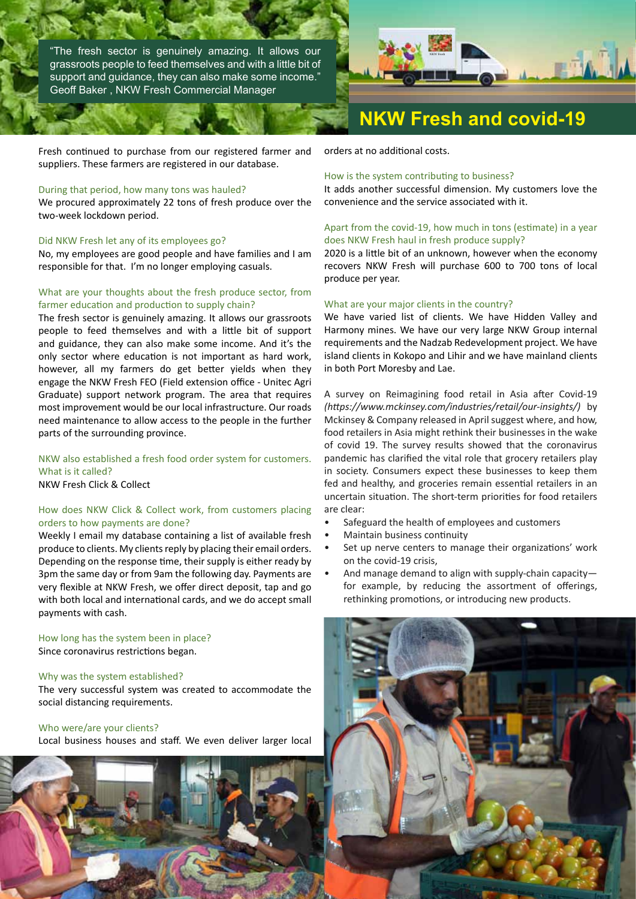"The fresh sector is genuinely amazing. It allows our grassroots people to feed themselves and with a little bit of support and guidance, they can also make some income." Geoff Baker , NKW Fresh Commercial Manager



### **NKW Fresh and covid-19**

Fresh continued to purchase from our registered farmer and suppliers. These farmers are registered in our database.

#### During that period, how many tons was hauled?

We procured approximately 22 tons of fresh produce over the two-week lockdown period.

#### Did NKW Fresh let any of its employees go?

No, my employees are good people and have families and I am responsible for that. I'm no longer employing casuals.

#### What are your thoughts about the fresh produce sector, from farmer education and production to supply chain?

The fresh sector is genuinely amazing. It allows our grassroots people to feed themselves and with a little bit of support and guidance, they can also make some income. And it's the only sector where education is not important as hard work, however, all my farmers do get better yields when they engage the NKW Fresh FEO (Field extension office - Unitec Agri Graduate) support network program. The area that requires most improvement would be our local infrastructure. Our roads need maintenance to allow access to the people in the further parts of the surrounding province.

NKW also established a fresh food order system for customers. What is it called? NKW Fresh Click & Collect

#### How does NKW Click & Collect work, from customers placing orders to how payments are done?

Weekly I email my database containing a list of available fresh produce to clients. My clients reply by placing their email orders. Depending on the response time, their supply is either ready by 3pm the same day or from 9am the following day. Payments are very flexible at NKW Fresh, we offer direct deposit, tap and go with both local and international cards, and we do accept small payments with cash.

How long has the system been in place? Since coronavirus restrictions began.

#### Why was the system established?

The very successful system was created to accommodate the social distancing requirements.

#### Who were/are your clients?

Local business houses and staff. We even deliver larger local



orders at no additional costs.

#### How is the system contributing to business?

It adds another successful dimension. My customers love the convenience and the service associated with it.

#### Apart from the covid-19, how much in tons (estimate) in a year does NKW Fresh haul in fresh produce supply?

2020 is a little bit of an unknown, however when the economy recovers NKW Fresh will purchase 600 to 700 tons of local produce per year.

#### What are your major clients in the country?

We have varied list of clients. We have Hidden Valley and Harmony mines. We have our very large NKW Group internal requirements and the Nadzab Redevelopment project. We have island clients in Kokopo and Lihir and we have mainland clients in both Port Moresby and Lae.

A survey on Reimagining food retail in Asia after Covid-19 *(https://www.mckinsey.com/industries/retail/our-insights/)* by Mckinsey & Company released in April suggest where, and how, food retailers in Asia might rethink their businesses in the wake of covid 19. The survey results showed that the coronavirus pandemic has clarified the vital role that grocery retailers play in society. Consumers expect these businesses to keep them fed and healthy, and groceries remain essential retailers in an uncertain situation. The short-term priorities for food retailers are clear:

- Safeguard the health of employees and customers
- Maintain business continuity
- Set up nerve centers to manage their organizations' work on the covid-19 crisis,
- And manage demand to align with supply-chain capacity for example, by reducing the assortment of offerings, rethinking promotions, or introducing new products.

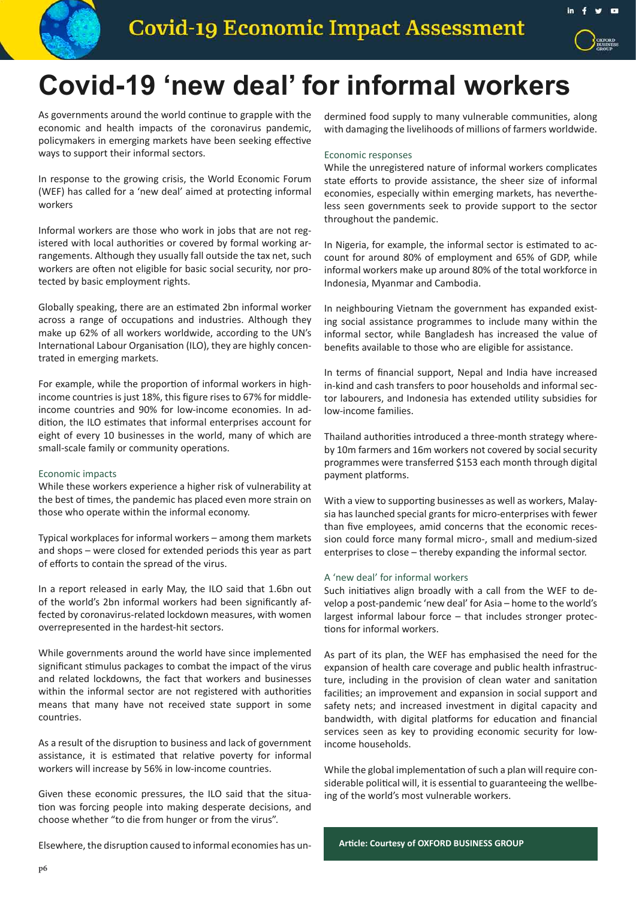



### **Covid-19 'new deal' for informal workers**

As governments around the world continue to grapple with the economic and health impacts of the coronavirus pandemic, policymakers in emerging markets have been seeking effective ways to support their informal sectors.

In response to the growing crisis, the World Economic Forum (WEF) has called for a 'new deal' aimed at protecting informal workers

Informal workers are those who work in jobs that are not registered with local authorities or covered by formal working arrangements. Although they usually fall outside the tax net, such workers are often not eligible for basic social security, nor protected by basic employment rights.

Globally speaking, there are an estimated 2bn informal worker across a range of occupations and industries. Although they make up 62% of all workers worldwide, according to the UN's International Labour Organisation (ILO), they are highly concentrated in emerging markets.

For example, while the proportion of informal workers in highincome countries is just 18%, this figure rises to 67% for middleincome countries and 90% for low-income economies. In addition, the ILO estimates that informal enterprises account for eight of every 10 businesses in the world, many of which are small-scale family or community operations.

#### Economic impacts

While these workers experience a higher risk of vulnerability at the best of times, the pandemic has placed even more strain on those who operate within the informal economy.

Typical workplaces for informal workers – among them markets and shops – were closed for extended periods this year as part of efforts to contain the spread of the virus.

In a report released in early May, the ILO said that 1.6bn out of the world's 2bn informal workers had been significantly affected by coronavirus-related lockdown measures, with women overrepresented in the hardest-hit sectors.

While governments around the world have since implemented significant stimulus packages to combat the impact of the virus and related lockdowns, the fact that workers and businesses within the informal sector are not registered with authorities means that many have not received state support in some countries.

As a result of the disruption to business and lack of government assistance, it is estimated that relative poverty for informal workers will increase by 56% in low-income countries.

Given these economic pressures, the ILO said that the situation was forcing people into making desperate decisions, and choose whether "to die from hunger or from the virus".

Elsewhere, the disruption caused to informal economies has un-

dermined food supply to many vulnerable communities, along with damaging the livelihoods of millions of farmers worldwide.

#### Economic responses

While the unregistered nature of informal workers complicates state efforts to provide assistance, the sheer size of informal economies, especially within emerging markets, has nevertheless seen governments seek to provide support to the sector throughout the pandemic.

In Nigeria, for example, the informal sector is estimated to account for around 80% of employment and 65% of GDP, while informal workers make up around 80% of the total workforce in Indonesia, Myanmar and Cambodia.

In neighbouring Vietnam the government has expanded existing social assistance programmes to include many within the informal sector, while Bangladesh has increased the value of benefits available to those who are eligible for assistance.

In terms of financial support, Nepal and India have increased in-kind and cash transfers to poor households and informal sector labourers, and Indonesia has extended utility subsidies for low-income families.

Thailand authorities introduced a three-month strategy whereby 10m farmers and 16m workers not covered by social security programmes were transferred \$153 each month through digital payment platforms.

With a view to supporting businesses as well as workers, Malaysia has launched special grants for micro-enterprises with fewer than five employees, amid concerns that the economic recession could force many formal micro-, small and medium-sized enterprises to close – thereby expanding the informal sector.

#### A 'new deal' for informal workers

Such initiatives align broadly with a call from the WEF to develop a post-pandemic 'new deal' for Asia – home to the world's largest informal labour force – that includes stronger protections for informal workers.

As part of its plan, the WEF has emphasised the need for the expansion of health care coverage and public health infrastructure, including in the provision of clean water and sanitation facilities; an improvement and expansion in social support and safety nets; and increased investment in digital capacity and bandwidth, with digital platforms for education and financial services seen as key to providing economic security for lowincome households.

While the global implementation of such a plan will require considerable political will, it is essential to guaranteeing the wellbeing of the world's most vulnerable workers.

**Article: Courtesy of OXFORD BUSINESS GROUP**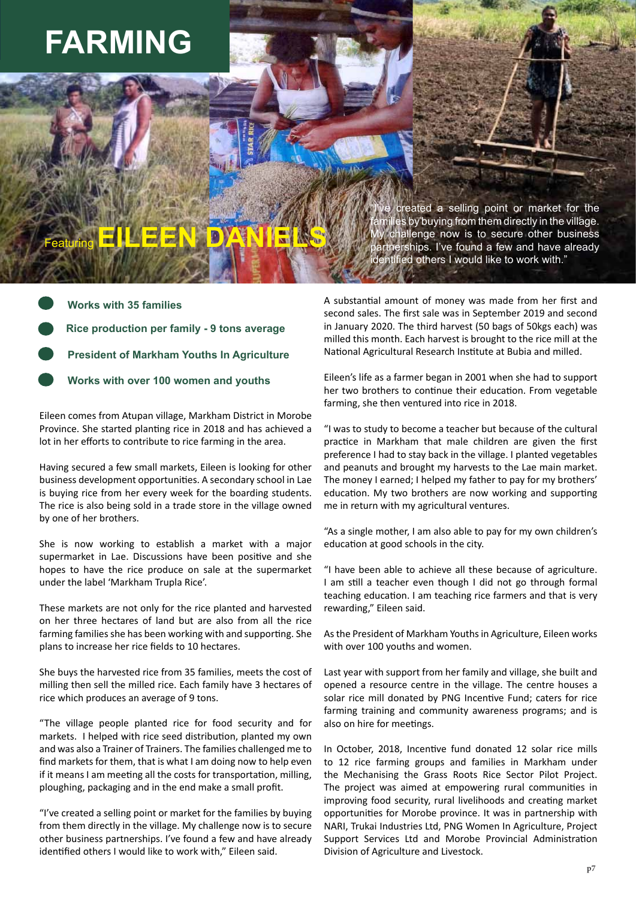# **FARMING**

ve created a selling point or market for the<br>milies.by.buying.from.them.directly.in.the.village lies by buying from them directly in the village. challenge now is to secure other business artnerships. I've found a few and have already identified others I would like to work with."

**Works with over 100 women and youths Works with 35 families Rice production per family - 9 tons average President of Markham Youths In Agriculture**

Featuring **EILEEN DANIELS**

Eileen comes from Atupan village, Markham District in Morobe Province. She started planting rice in 2018 and has achieved a lot in her efforts to contribute to rice farming in the area.

Having secured a few small markets, Eileen is looking for other business development opportunities. A secondary school in Lae is buying rice from her every week for the boarding students. The rice is also being sold in a trade store in the village owned by one of her brothers.

She is now working to establish a market with a major supermarket in Lae. Discussions have been positive and she hopes to have the rice produce on sale at the supermarket under the label 'Markham Trupla Rice'.

These markets are not only for the rice planted and harvested on her three hectares of land but are also from all the rice farming families she has been working with and supporting. She plans to increase her rice fields to 10 hectares.

She buys the harvested rice from 35 families, meets the cost of milling then sell the milled rice. Each family have 3 hectares of rice which produces an average of 9 tons.

"The village people planted rice for food security and for markets. I helped with rice seed distribution, planted my own and was also a Trainer of Trainers. The families challenged me to find markets for them, that is what I am doing now to help even if it means I am meeting all the costs for transportation, milling, ploughing, packaging and in the end make a small profit.

"I've created a selling point or market for the families by buying from them directly in the village. My challenge now is to secure other business partnerships. I've found a few and have already identified others I would like to work with," Eileen said.

A substantial amount of money was made from her first and second sales. The first sale was in September 2019 and second in January 2020. The third harvest (50 bags of 50kgs each) was milled this month. Each harvest is brought to the rice mill at the National Agricultural Research Institute at Bubia and milled.

Eileen's life as a farmer began in 2001 when she had to support her two brothers to continue their education. From vegetable farming, she then ventured into rice in 2018.

"I was to study to become a teacher but because of the cultural practice in Markham that male children are given the first preference I had to stay back in the village. I planted vegetables and peanuts and brought my harvests to the Lae main market. The money I earned; I helped my father to pay for my brothers' education. My two brothers are now working and supporting me in return with my agricultural ventures.

"As a single mother, I am also able to pay for my own children's education at good schools in the city.

"I have been able to achieve all these because of agriculture. I am still a teacher even though I did not go through formal teaching education. I am teaching rice farmers and that is very rewarding," Eileen said.

As the President of Markham Youths in Agriculture, Eileen works with over 100 youths and women.

Last year with support from her family and village, she built and opened a resource centre in the village. The centre houses a solar rice mill donated by PNG Incentive Fund; caters for rice farming training and community awareness programs; and is also on hire for meetings.

In October, 2018, Incentive fund donated 12 solar rice mills to 12 rice farming groups and families in Markham under the Mechanising the Grass Roots Rice Sector Pilot Project. The project was aimed at empowering rural communities in improving food security, rural livelihoods and creating market opportunities for Morobe province. It was in partnership with NARI, Trukai Industries Ltd, PNG Women In Agriculture, Project Support Services Ltd and Morobe Provincial Administration Division of Agriculture and Livestock.